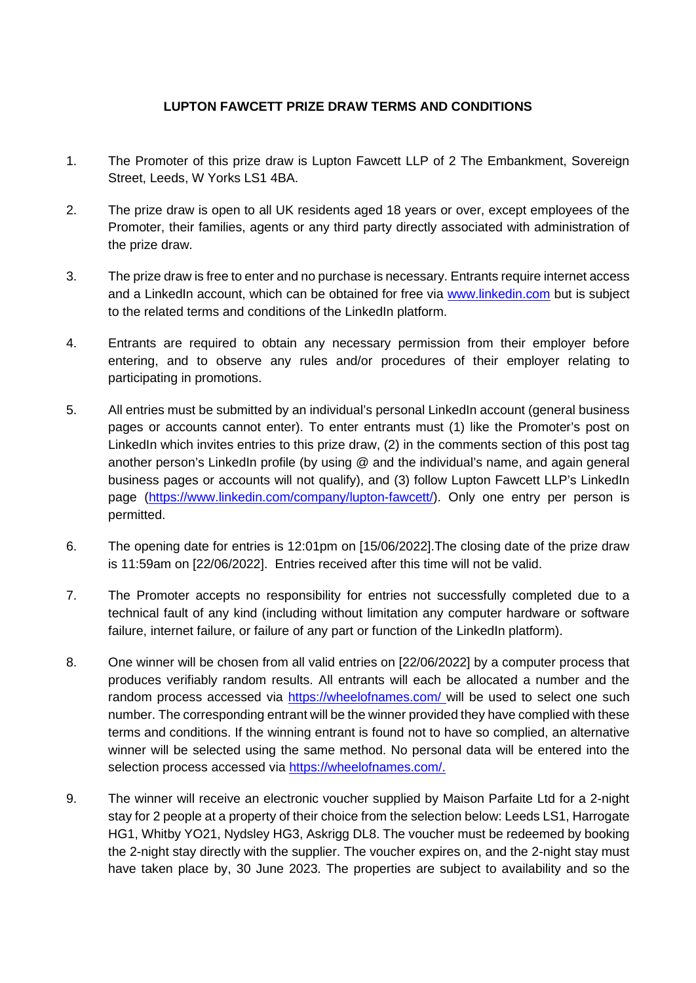## **LUPTON FAWCETT PRIZE DRAW TERMS AND CONDITIONS**

- 1. The Promoter of this prize draw is Lupton Fawcett LLP of 2 The Embankment, Sovereign Street, Leeds, W Yorks LS1 4BA.
- 2. The prize draw is open to all UK residents aged 18 years or over, except employees of the Promoter, their families, agents or any third party directly associated with administration of the prize draw.
- 3. The prize draw is free to enter and no purchase is necessary. Entrants require internet access and a LinkedIn account, which can be obtained for free via www.linkedin.com but is subject to the related terms and conditions of the LinkedIn platform.
- 4. Entrants are required to obtain any necessary permission from their employer before entering, and to observe any rules and/or procedures of their employer relating to participating in promotions.
- 5. All entries must be submitted by an individual's personal LinkedIn account (general business pages or accounts cannot enter). To enter entrants must (1) like the Promoter's post on LinkedIn which invites entries to this prize draw, (2) in the comments section of this post tag another person's LinkedIn profile (by using @ and the individual's name, and again general business pages or accounts will not qualify), and (3) follow Lupton Fawcett LLP's LinkedIn page (https://www.linkedin.com/company/lupton-fawcett/). Only one entry per person is permitted.
- 6. The opening date for entries is 12:01pm on [15/06/2022].The closing date of the prize draw is 11:59am on [22/06/2022]. Entries received after this time will not be valid.
- 7. The Promoter accepts no responsibility for entries not successfully completed due to a technical fault of any kind (including without limitation any computer hardware or software failure, internet failure, or failure of any part or function of the LinkedIn platform).
- 8. One winner will be chosen from all valid entries on [22/06/2022] by a computer process that produces verifiably random results. All entrants will each be allocated a number and the random process accessed via https://wheelofnames.com/ will be used to select one such number. The corresponding entrant will be the winner provided they have complied with these terms and conditions. If the winning entrant is found not to have so complied, an alternative winner will be selected using the same method. No personal data will be entered into the selection process accessed via https://wheelofnames.com/.
- 9. The winner will receive an electronic voucher supplied by Maison Parfaite Ltd for a 2-night stay for 2 people at a property of their choice from the selection below: Leeds LS1, Harrogate HG1, Whitby YO21, Nydsley HG3, Askrigg DL8. The voucher must be redeemed by booking the 2-night stay directly with the supplier. The voucher expires on, and the 2-night stay must have taken place by, 30 June 2023. The properties are subject to availability and so the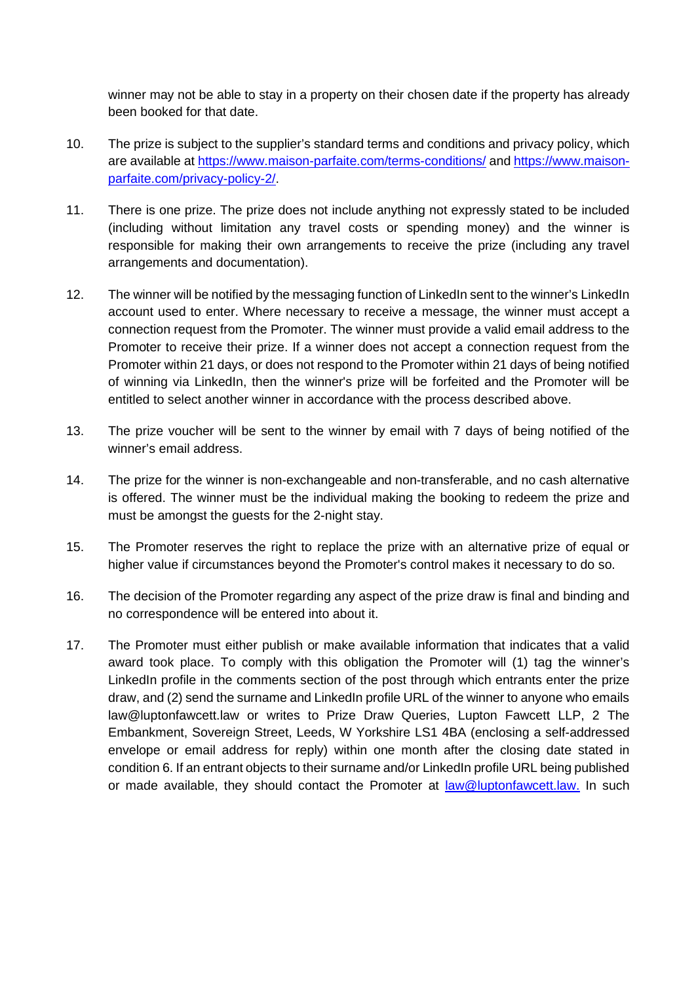winner may not be able to stay in a property on their chosen date if the property has already been booked for that date.

- 10. The prize is subject to the supplier's standard terms and conditions and privacy policy, which are available at https://www.maison-parfaite.com/terms-conditions/ and https://www.maisonparfaite.com/privacy-policy-2/.
- 11. There is one prize. The prize does not include anything not expressly stated to be included (including without limitation any travel costs or spending money) and the winner is responsible for making their own arrangements to receive the prize (including any travel arrangements and documentation).
- 12. The winner will be notified by the messaging function of LinkedIn sent to the winner's LinkedIn account used to enter. Where necessary to receive a message, the winner must accept a connection request from the Promoter. The winner must provide a valid email address to the Promoter to receive their prize. If a winner does not accept a connection request from the Promoter within 21 days, or does not respond to the Promoter within 21 days of being notified of winning via LinkedIn, then the winner's prize will be forfeited and the Promoter will be entitled to select another winner in accordance with the process described above.
- 13. The prize voucher will be sent to the winner by email with 7 days of being notified of the winner's email address.
- 14. The prize for the winner is non-exchangeable and non-transferable, and no cash alternative is offered. The winner must be the individual making the booking to redeem the prize and must be amongst the guests for the 2-night stay.
- 15. The Promoter reserves the right to replace the prize with an alternative prize of equal or higher value if circumstances beyond the Promoter's control makes it necessary to do so.
- 16. The decision of the Promoter regarding any aspect of the prize draw is final and binding and no correspondence will be entered into about it.
- <span id="page-1-0"></span>17. The Promoter must either publish or make available information that indicates that a valid award took place. To comply with this obligation the Promoter will (1) tag the winner's LinkedIn profile in the comments section of the post through which entrants enter the prize draw, and (2) send the surname and LinkedIn profile URL of the winner to anyone who emails law@luptonfawcett.law or writes to Prize Draw Queries, Lupton Fawcett LLP, 2 The Embankment, Sovereign Street, Leeds, W Yorkshire LS1 4BA (enclosing a self-addressed envelope or email address for reply) within one month after the closing date stated in condition 6. If an entrant objects to their surname and/or LinkedIn profile URL being published or made available, they should contact the Promoter at law@luptonfawcett.law. In such